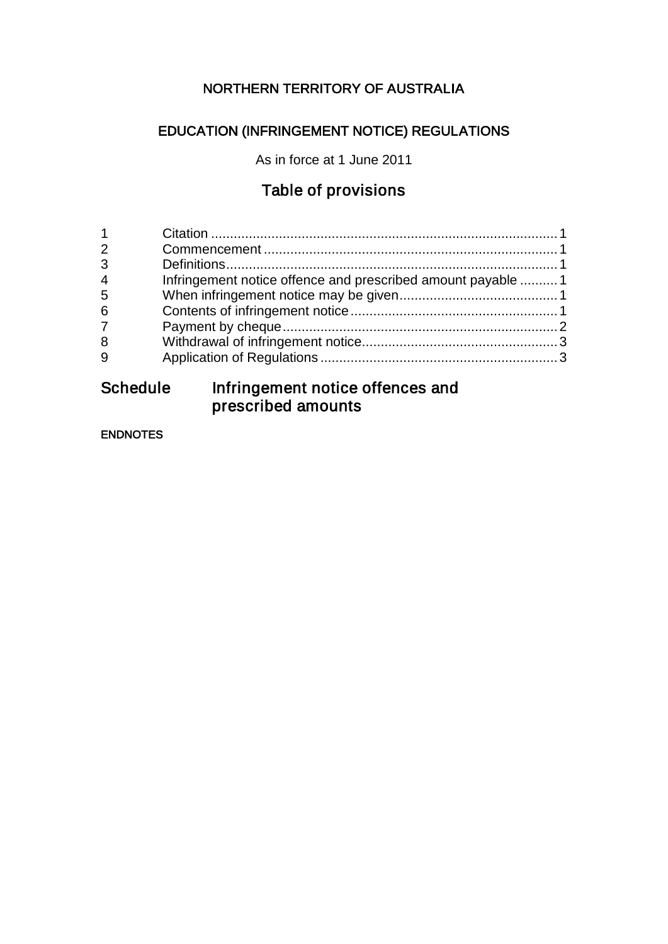## NORTHERN TERRITORY OF AUSTRALIA

## EDUCATION (INFRINGEMENT NOTICE) REGULATIONS

As in force at 1 June 2011

## Table of provisions

| $\mathbf{1}$   |                                                             |  |
|----------------|-------------------------------------------------------------|--|
| 2              |                                                             |  |
| 3              |                                                             |  |
| $\overline{4}$ | Infringement notice offence and prescribed amount payable 1 |  |
| 5              |                                                             |  |
| 6              |                                                             |  |
| $\overline{7}$ |                                                             |  |
| 8              |                                                             |  |
| 9              |                                                             |  |
|                |                                                             |  |

## Schedule Infringement notice offences and prescribed amounts

ENDNOTES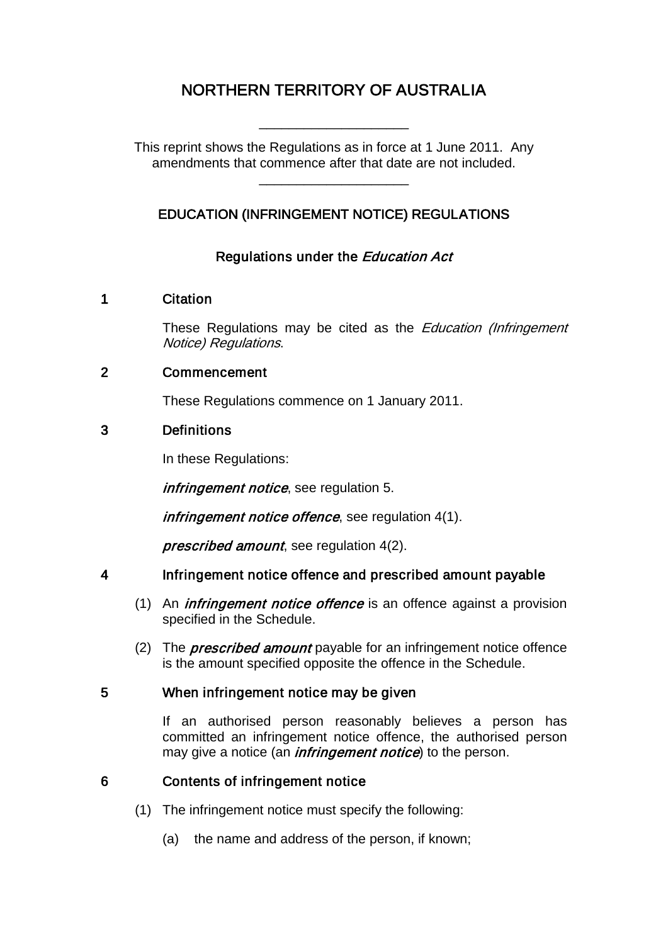# NORTHERN TERRITORY OF AUSTRALIA

\_\_\_\_\_\_\_\_\_\_\_\_\_\_\_\_\_\_\_\_

This reprint shows the Regulations as in force at 1 June 2011. Any amendments that commence after that date are not included.

## EDUCATION (INFRINGEMENT NOTICE) REGULATIONS

\_\_\_\_\_\_\_\_\_\_\_\_\_\_\_\_\_\_\_\_

### Regulations under the Education Act

#### 1 Citation

These Regulations may be cited as the *Education (Infringement* Notice) Regulations.

#### 2 Commencement

These Regulations commence on 1 January 2011.

#### 3 Definitions

In these Regulations:

infringement notice, see requiation 5.

infringement notice offence, see regulation 4(1).

prescribed amount, see regulation 4(2).

#### 4 Infringement notice offence and prescribed amount payable

- (1) An *infringement notice offence* is an offence against a provision specified in the Schedule.
- (2) The *prescribed amount* payable for an infringement notice offence is the amount specified opposite the offence in the Schedule.

#### 5 When infringement notice may be given

If an authorised person reasonably believes a person has committed an infringement notice offence, the authorised person may give a notice (an *infringement notice*) to the person.

#### 6 Contents of infringement notice

- (1) The infringement notice must specify the following:
	- (a) the name and address of the person, if known;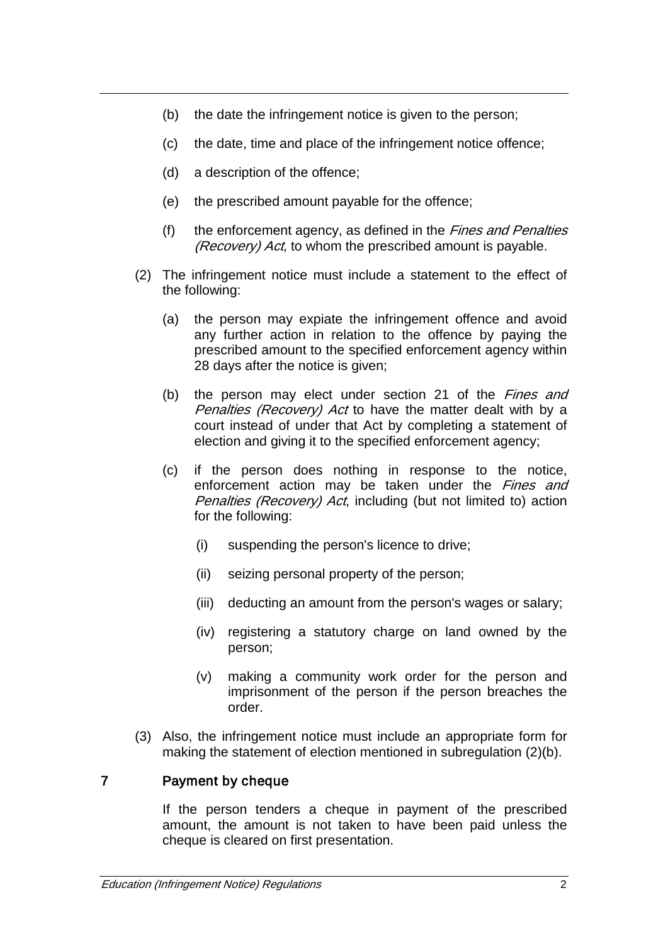- (b) the date the infringement notice is given to the person;
- (c) the date, time and place of the infringement notice offence;
- (d) a description of the offence;
- (e) the prescribed amount payable for the offence;
- (f) the enforcement agency, as defined in the Fines and Penalties (Recovery) Act, to whom the prescribed amount is payable.
- (2) The infringement notice must include a statement to the effect of the following:
	- (a) the person may expiate the infringement offence and avoid any further action in relation to the offence by paying the prescribed amount to the specified enforcement agency within 28 days after the notice is given;
	- (b) the person may elect under section 21 of the *Fines and* Penalties (Recovery) Act to have the matter dealt with by a court instead of under that Act by completing a statement of election and giving it to the specified enforcement agency;
	- (c) if the person does nothing in response to the notice, enforcement action may be taken under the Fines and Penalties (Recovery) Act, including (but not limited to) action for the following:
		- (i) suspending the person's licence to drive;
		- (ii) seizing personal property of the person;
		- (iii) deducting an amount from the person's wages or salary;
		- (iv) registering a statutory charge on land owned by the person;
		- (v) making a community work order for the person and imprisonment of the person if the person breaches the order.
- (3) Also, the infringement notice must include an appropriate form for making the statement of election mentioned in subregulation (2)(b).

#### 7 Payment by cheque

If the person tenders a cheque in payment of the prescribed amount, the amount is not taken to have been paid unless the cheque is cleared on first presentation.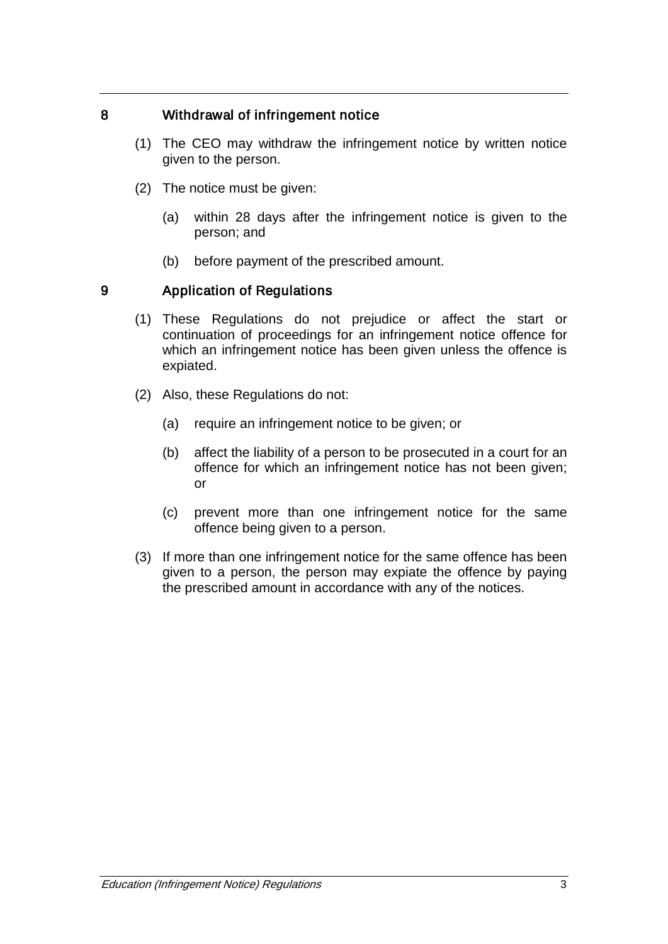#### 8 Withdrawal of infringement notice

- (1) The CEO may withdraw the infringement notice by written notice given to the person.
- (2) The notice must be given:
	- (a) within 28 days after the infringement notice is given to the person; and
	- (b) before payment of the prescribed amount.

#### 9 Application of Regulations

- (1) These Regulations do not prejudice or affect the start or continuation of proceedings for an infringement notice offence for which an infringement notice has been given unless the offence is expiated.
- (2) Also, these Regulations do not:
	- (a) require an infringement notice to be given; or
	- (b) affect the liability of a person to be prosecuted in a court for an offence for which an infringement notice has not been given; or
	- (c) prevent more than one infringement notice for the same offence being given to a person.
- (3) If more than one infringement notice for the same offence has been given to a person, the person may expiate the offence by paying the prescribed amount in accordance with any of the notices.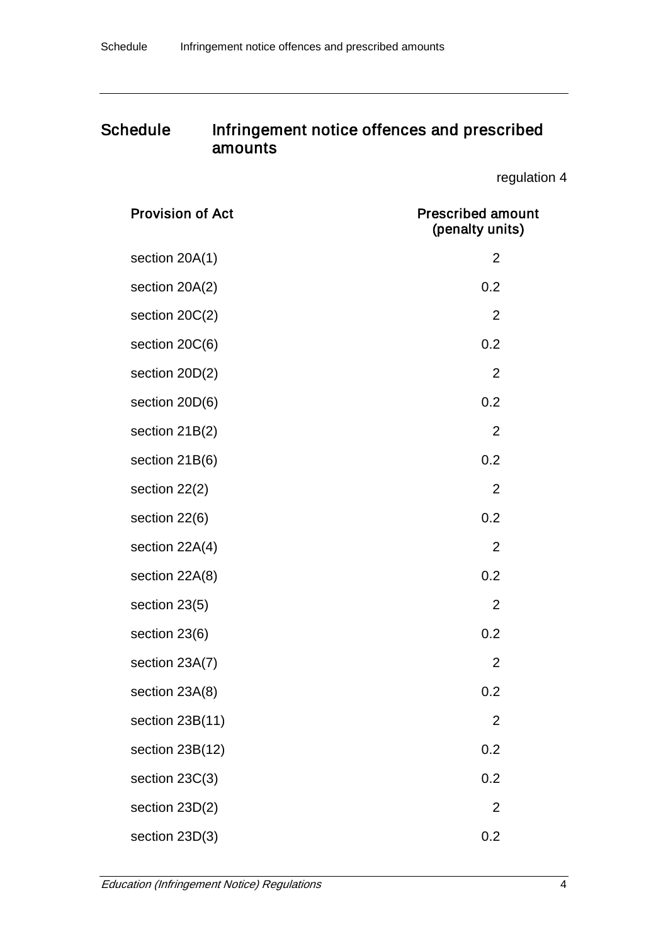## Schedule Infringement notice offences and prescribed amounts

regulation 4

| <b>Provision of Act</b> | <b>Prescribed amount</b><br>(penalty units) |
|-------------------------|---------------------------------------------|
| section 20A(1)          | $\overline{2}$                              |
| section 20A(2)          | 0.2                                         |
| section 20C(2)          | $\overline{2}$                              |
| section 20C(6)          | 0.2                                         |
| section 20D(2)          | $\overline{2}$                              |
| section 20D(6)          | 0.2                                         |
| section 21B(2)          | $\overline{2}$                              |
| section 21B(6)          | 0.2                                         |
| section 22(2)           | $\overline{2}$                              |
| section 22(6)           | 0.2                                         |
| section 22A(4)          | $\overline{2}$                              |
| section 22A(8)          | 0.2                                         |
| section 23(5)           | $\overline{2}$                              |
| section 23(6)           | 0.2                                         |
| section 23A(7)          | $\overline{2}$                              |
| section 23A(8)          | 0.2                                         |
| section 23B(11)         | $\overline{2}$                              |
| section 23B(12)         | 0.2                                         |
| section 23C(3)          | 0.2                                         |
| section 23D(2)          | $\overline{2}$                              |
| section 23D(3)          | 0.2                                         |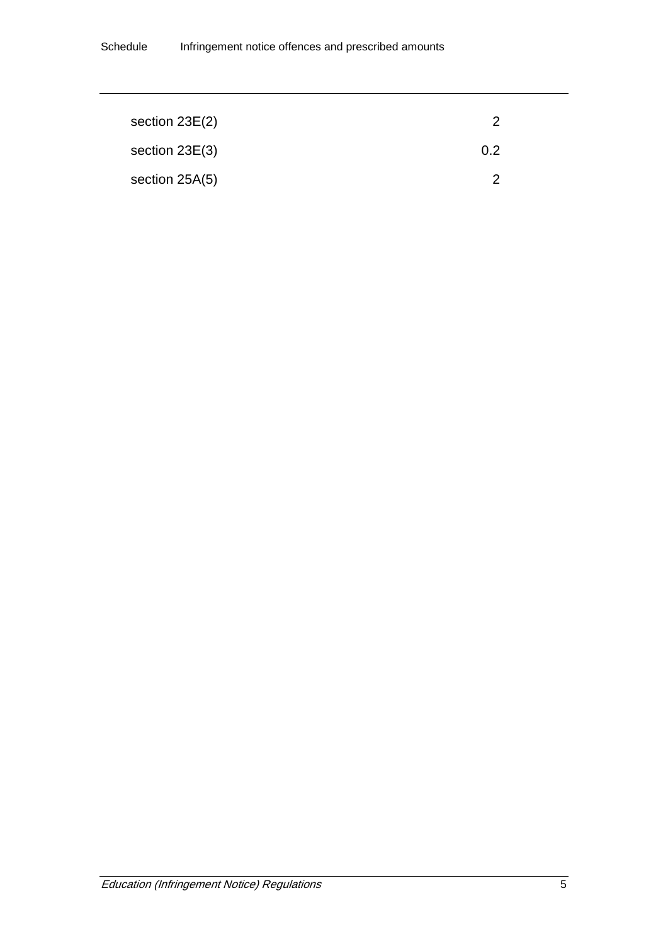| section $23E(2)$ |                |  |
|------------------|----------------|--|
| section $23E(3)$ | 0 <sup>2</sup> |  |
| section $25A(5)$ |                |  |